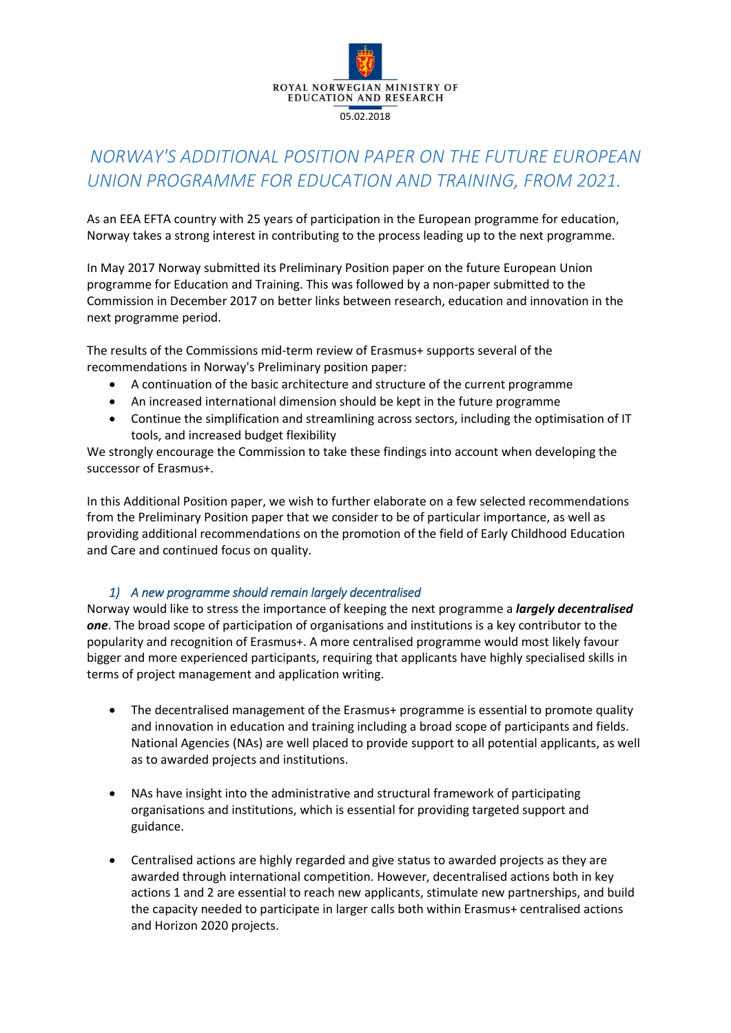

# *NORWAY'S ADDITIONAL POSITION PAPER ON THE FUTURE EUROPEAN UNION PROGRAMME FOR EDUCATION AND TRAINING, FROM 2021.*

As an EEA EFTA country with 25 years of participation in the European programme for education, Norway takes a strong interest in contributing to the process leading up to the next programme.

In May 2017 Norway submitted its Preliminary Position paper on the future European Union programme for Education and Training. This was followed by a non-paper submitted to the Commission in December 2017 on better links between research, education and innovation in the next programme period.

The results of the Commissions mid-term review of Erasmus+ supports several of the recommendations in Norway's Preliminary position paper:

- A continuation of the basic architecture and structure of the current programme
- An increased international dimension should be kept in the future programme
- Continue the simplification and streamlining across sectors, including the optimisation of IT tools, and increased budget flexibility

We strongly encourage the Commission to take these findings into account when developing the successor of Erasmus+.

In this Additional Position paper, we wish to further elaborate on a few selected recommendations from the Preliminary Position paper that we consider to be of particular importance, as well as providing additional recommendations on the promotion of the field of Early Childhood Education and Care and continued focus on quality.

# *1) A new programme should remain largely decentralised*

Norway would like to stress the importance of keeping the next programme a *largely decentralised one*. The broad scope of participation of organisations and institutions is a key contributor to the popularity and recognition of Erasmus+. A more centralised programme would most likely favour bigger and more experienced participants, requiring that applicants have highly specialised skills in terms of project management and application writing.

- The decentralised management of the Erasmus+ programme is essential to promote quality and innovation in education and training including a broad scope of participants and fields. National Agencies (NAs) are well placed to provide support to all potential applicants, as well as to awarded projects and institutions.
- NAs have insight into the administrative and structural framework of participating organisations and institutions, which is essential for providing targeted support and guidance.
- Centralised actions are highly regarded and give status to awarded projects as they are awarded through international competition. However, decentralised actions both in key actions 1 and 2 are essential to reach new applicants, stimulate new partnerships, and build the capacity needed to participate in larger calls both within Erasmus+ centralised actions and Horizon 2020 projects.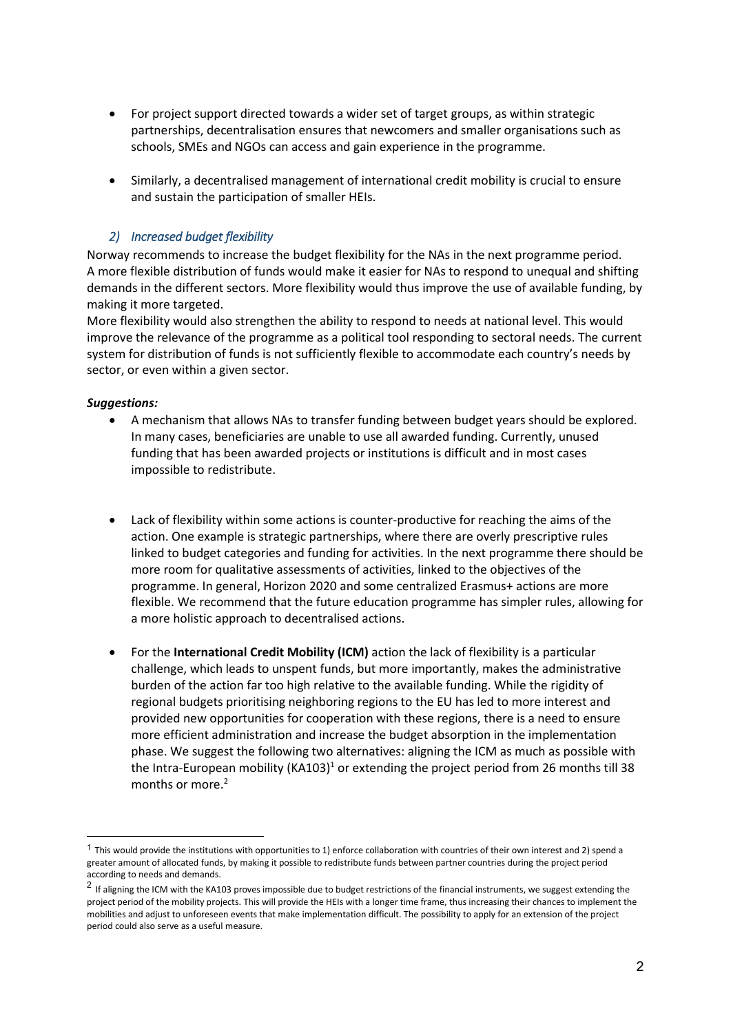- For project support directed towards a wider set of target groups, as within strategic partnerships, decentralisation ensures that newcomers and smaller organisations such as schools, SMEs and NGOs can access and gain experience in the programme.
- Similarly, a decentralised management of international credit mobility is crucial to ensure and sustain the participation of smaller HEIs.

# *2) Increased budget flexibility*

Norway recommends to increase the budget flexibility for the NAs in the next programme period. A more flexible distribution of funds would make it easier for NAs to respond to unequal and shifting demands in the different sectors. More flexibility would thus improve the use of available funding, by making it more targeted.

More flexibility would also strengthen the ability to respond to needs at national level. This would improve the relevance of the programme as a political tool responding to sectoral needs. The current system for distribution of funds is not sufficiently flexible to accommodate each country's needs by sector, or even within a given sector.

#### *Suggestions:*

1

- A mechanism that allows NAs to transfer funding between budget years should be explored. In many cases, beneficiaries are unable to use all awarded funding. Currently, unused funding that has been awarded projects or institutions is difficult and in most cases impossible to redistribute.
- Lack of flexibility within some actions is counter-productive for reaching the aims of the action. One example is strategic partnerships, where there are overly prescriptive rules linked to budget categories and funding for activities. In the next programme there should be more room for qualitative assessments of activities, linked to the objectives of the programme. In general, Horizon 2020 and some centralized Erasmus+ actions are more flexible. We recommend that the future education programme has simpler rules, allowing for a more holistic approach to decentralised actions.
- For the **International Credit Mobility (ICM)** action the lack of flexibility is a particular challenge, which leads to unspent funds, but more importantly, makes the administrative burden of the action far too high relative to the available funding. While the rigidity of regional budgets prioritising neighboring regions to the EU has led to more interest and provided new opportunities for cooperation with these regions, there is a need to ensure more efficient administration and increase the budget absorption in the implementation phase. We suggest the following two alternatives: aligning the ICM as much as possible with the Intra-European mobility (KA103)<sup>1</sup> or extending the project period from 26 months till 38 months or more.<sup>2</sup>

 $1$  This would provide the institutions with opportunities to 1) enforce collaboration with countries of their own interest and 2) spend a greater amount of allocated funds, by making it possible to redistribute funds between partner countries during the project period according to needs and demands.

 $^2$  If aligning the ICM with the KA103 proves impossible due to budget restrictions of the financial instruments, we suggest extending the project period of the mobility projects. This will provide the HEIs with a longer time frame, thus increasing their chances to implement the mobilities and adjust to unforeseen events that make implementation difficult. The possibility to apply for an extension of the project period could also serve as a useful measure.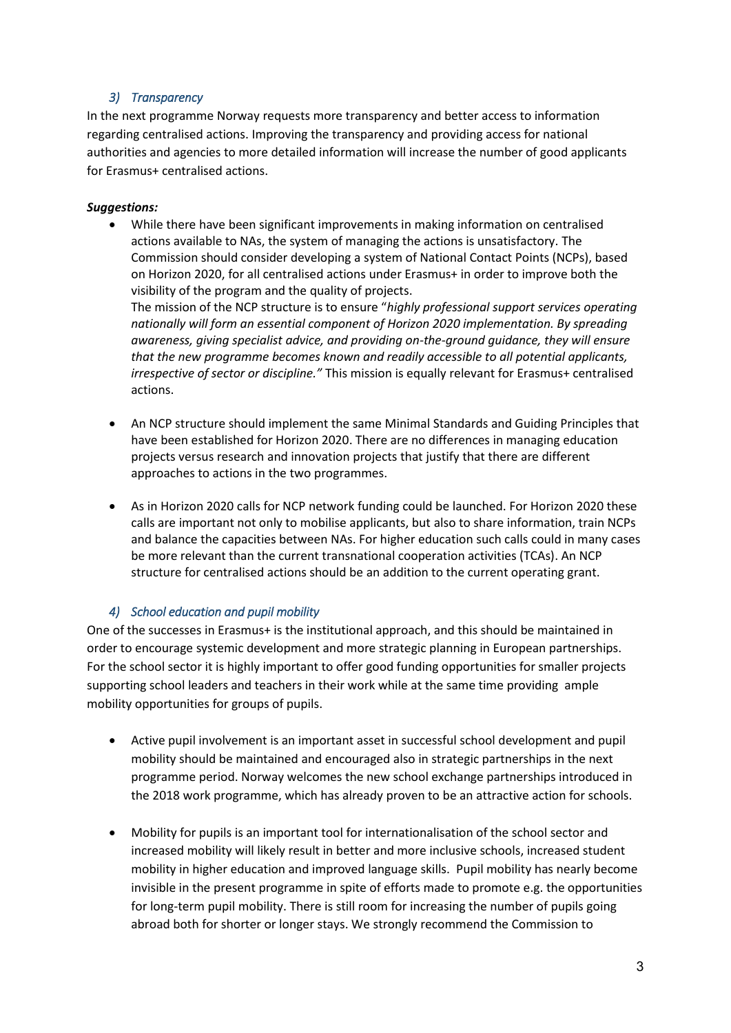# *3) Transparency*

In the next programme Norway requests more transparency and better access to information regarding centralised actions. Improving the transparency and providing access for national authorities and agencies to more detailed information will increase the number of good applicants for Erasmus+ centralised actions.

# *Suggestions:*

 While there have been significant improvements in making information on centralised actions available to NAs, the system of managing the actions is unsatisfactory. The Commission should consider developing a system of National Contact Points (NCPs), based on Horizon 2020, for all centralised actions under Erasmus+ in order to improve both the visibility of the program and the quality of projects.

The mission of the NCP structure is to ensure "*highly professional support services operating nationally will form an essential component of Horizon 2020 implementation. By spreading awareness, giving specialist advice, and providing on-the-ground guidance, they will ensure that the new programme becomes known and readily accessible to all potential applicants, irrespective of sector or discipline."* This mission is equally relevant for Erasmus+ centralised actions.

- An NCP structure should implement the same Minimal Standards and Guiding Principles that have been established for Horizon 2020. There are no differences in managing education projects versus research and innovation projects that justify that there are different approaches to actions in the two programmes.
- As in Horizon 2020 calls for NCP network funding could be launched. For Horizon 2020 these calls are important not only to mobilise applicants, but also to share information, train NCPs and balance the capacities between NAs. For higher education such calls could in many cases be more relevant than the current transnational cooperation activities (TCAs). An NCP structure for centralised actions should be an addition to the current operating grant.

# *4) School education and pupil mobility*

One of the successes in Erasmus+ is the institutional approach, and this should be maintained in order to encourage systemic development and more strategic planning in European partnerships. For the school sector it is highly important to offer good funding opportunities for smaller projects supporting school leaders and teachers in their work while at the same time providing ample mobility opportunities for groups of pupils.

- Active pupil involvement is an important asset in successful school development and pupil mobility should be maintained and encouraged also in strategic partnerships in the next programme period. Norway welcomes the new school exchange partnerships introduced in the 2018 work programme, which has already proven to be an attractive action for schools.
- Mobility for pupils is an important tool for internationalisation of the school sector and increased mobility will likely result in better and more inclusive schools, increased student mobility in higher education and improved language skills. Pupil mobility has nearly become invisible in the present programme in spite of efforts made to promote e.g. the opportunities for long-term pupil mobility. There is still room for increasing the number of pupils going abroad both for shorter or longer stays. We strongly recommend the Commission to